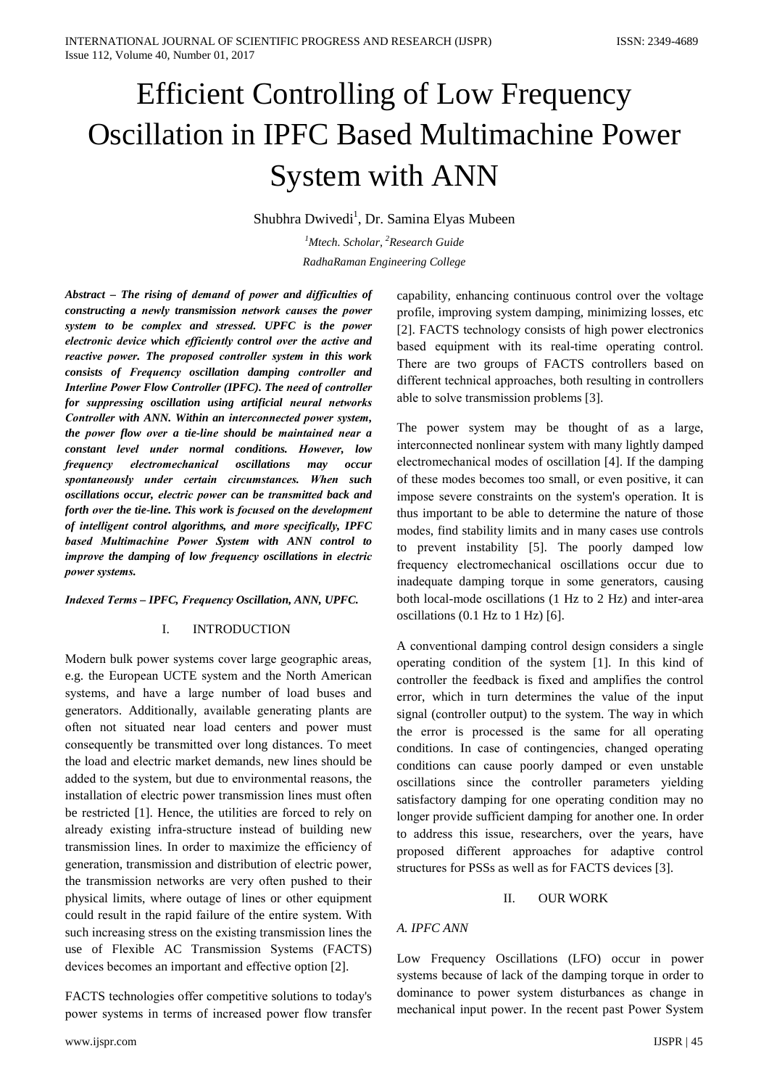# **Efficient Controlling of Low Frequency** Oscillation in IPFC Based Multimachine Power System with ANN

Shubhra Dwivedi<sup>1</sup>, Dr. Samina Elyas Mubeen

 $<sup>1</sup>$ Mtech. Scholar,  $<sup>2</sup>$ Research Guide</sup></sup> RadhaRaman Engineering College

Abstract - The rising of demand of power and difficulties of constructing a newly transmission network causes the power system to be complex and stressed. UPFC is the power electronic device which efficiently control over the active and reactive power. The proposed controller system in this work consists of Frequency oscillation damping controller and Interline Power Flow Controller (IPFC). The need of controller for suppressing oscillation using artificial neural networks Controller with ANN. Within an interconnected power system, the power flow over a tie-line should be maintained near a constant level under normal conditions. However, low frequency electromechanical oscillations may occur spontaneously under certain circumstances. When such oscillations occur, electric power can be transmitted back and forth over the tie-line. This work is focused on the development of intelligent control algorithms, and more specifically, IPFC based Multimachine Power System with ANN control to improve the damping of low frequency oscillations in electric power systems.

Indexed Terms - IPFC, Frequency Oscillation, ANN, UPFC.

#### I. **INTRODUCTION**

Modern bulk power systems cover large geographic areas, e.g. the European UCTE system and the North American systems, and have a large number of load buses and generators. Additionally, available generating plants are often not situated near load centers and power must consequently be transmitted over long distances. To meet the load and electric market demands, new lines should be added to the system, but due to environmental reasons, the installation of electric power transmission lines must often be restricted [1]. Hence, the utilities are forced to rely on already existing infra-structure instead of building new transmission lines. In order to maximize the efficiency of generation, transmission and distribution of electric power, the transmission networks are very often pushed to their physical limits, where outage of lines or other equipment could result in the rapid failure of the entire system. With such increasing stress on the existing transmission lines the use of Flexible AC Transmission Systems (FACTS) devices becomes an important and effective option [2].

FACTS technologies offer competitive solutions to today's power systems in terms of increased power flow transfer capability, enhancing continuous control over the voltage profile, improving system damping, minimizing losses, etc [2]. FACTS technology consists of high power electronics based equipment with its real-time operating control. There are two groups of FACTS controllers based on different technical approaches, both resulting in controllers able to solve transmission problems [3].

The power system may be thought of as a large, interconnected nonlinear system with many lightly damped electromechanical modes of oscillation [4]. If the damping of these modes becomes too small, or even positive, it can impose severe constraints on the system's operation. It is thus important to be able to determine the nature of those modes, find stability limits and in many cases use controls to prevent instability [5]. The poorly damped low frequency electromechanical oscillations occur due to inadequate damping torque in some generators, causing both local-mode oscillations (1 Hz to 2 Hz) and inter-area oscillations  $(0.1 \text{ Hz to } 1 \text{ Hz})$  [6].

A conventional damping control design considers a single operating condition of the system [1]. In this kind of controller the feedback is fixed and amplifies the control error, which in turn determines the value of the input signal (controller output) to the system. The way in which the error is processed is the same for all operating conditions. In case of contingencies, changed operating conditions can cause poorly damped or even unstable oscillations since the controller parameters yielding satisfactory damping for one operating condition may no longer provide sufficient damping for another one. In order to address this issue, researchers, over the years, have proposed different approaches for adaptive control structures for PSSs as well as for FACTS devices [3].

#### II. **OUR WORK**

## A. **IPFC** ANN

Low Frequency Oscillations (LFO) occur in power systems because of lack of the damping torque in order to dominance to power system disturbances as change in mechanical input power. In the recent past Power System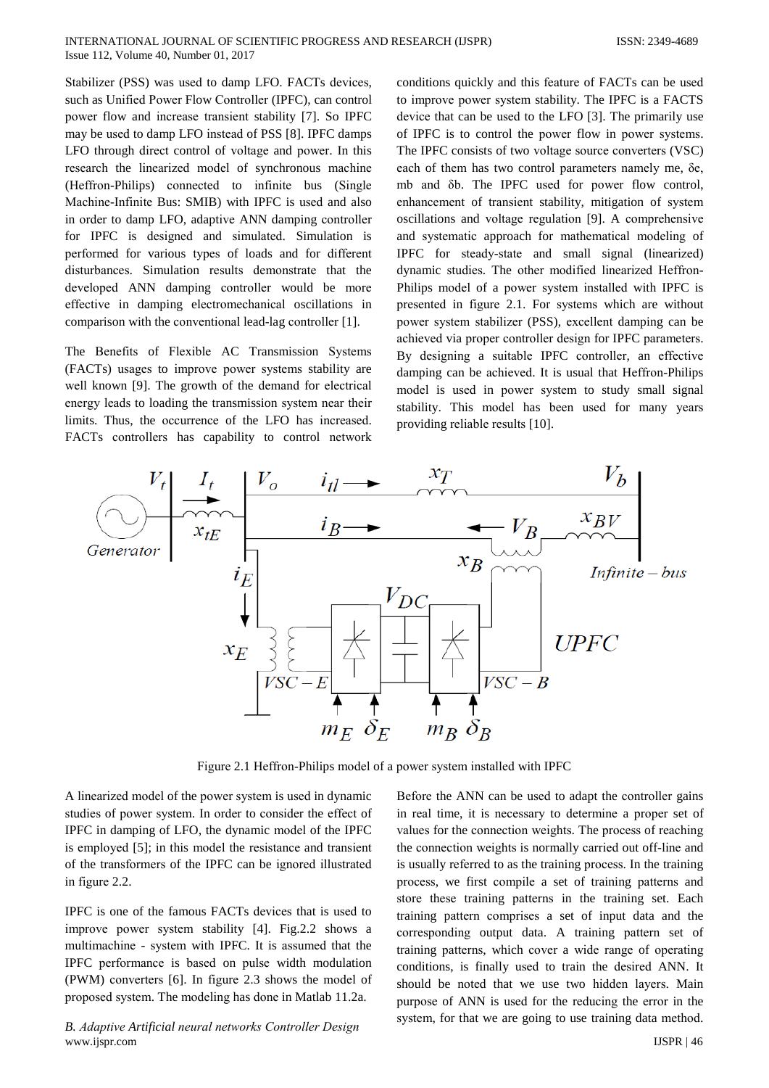Stabilizer (PSS) was used to damp LFO. FACTs devices, such as Unified Power Flow Controller (IPFC), can control power flow and increase transient stability [7]. So IPFC may be used to damp LFO instead of PSS [8]. IPFC damps LFO through direct control of voltage and power. In this research the linearized model of synchronous machine (Heffron-Philips) connected to infinite bus (Single Machine-Infinite Bus: SMIB) with IPFC is used and also in order to damp LFO, adaptive ANN damping controller for IPFC is designed and simulated. Simulation is performed for various types of loads and for different disturbances. Simulation results demonstrate that the developed ANN damping controller would be more effective in damping electromechanical oscillations in comparison with the conventional lead-lag controller [1].

The Benefits of Flexible AC Transmission Systems (FACTs) usages to improve power systems stability are well known [9]. The growth of the demand for electrical energy leads to loading the transmission system near their limits. Thus, the occurrence of the LFO has increased. FACTs controllers has capability to control network

conditions quickly and this feature of FACTs can be used to improve power system stability. The IPFC is a FACTS device that can be used to the LFO [3]. The primarily use of IPFC is to control the power flow in power systems. The IPFC consists of two voltage source converters (VSC) each of them has two control parameters namely me,  $\delta e$ , mb and  $\delta b$ . The IPFC used for power flow control, enhancement of transient stability, mitigation of system oscillations and voltage regulation [9]. A comprehensive and systematic approach for mathematical modeling of IPFC for steady-state and small signal (linearized) dynamic studies. The other modified linearized Heffron-Philips model of a power system installed with IPFC is presented in figure 2.1. For systems which are without power system stabilizer (PSS), excellent damping can be achieved via proper controller design for IPFC parameters. By designing a suitable IPFC controller, an effective damping can be achieved. It is usual that Heffron-Philips model is used in power system to study small signal stability. This model has been used for many years providing reliable results [10].



Figure 2.1 Heffron-Philips model of a power system installed with IPFC

A linearized model of the power system is used in dynamic studies of power system. In order to consider the effect of IPFC in damping of LFO, the dynamic model of the IPFC is employed [5]; in this model the resistance and transient of the transformers of the IPFC can be ignored illustrated in figure 2.2.

IPFC is one of the famous FACTs devices that is used to improve power system stability [4]. Fig.2.2 shows a multimachine - system with IPFC. It is assumed that the IPFC performance is based on pulse width modulation (PWM) converters [6]. In figure 2.3 shows the model of proposed system. The modeling has done in Matlab 11.2a.

B. Adaptive Artificial neural networks Controller Design www.iispr.com

Before the ANN can be used to adapt the controller gains in real time, it is necessary to determine a proper set of values for the connection weights. The process of reaching the connection weights is normally carried out off-line and is usually referred to as the training process. In the training process, we first compile a set of training patterns and store these training patterns in the training set. Each training pattern comprises a set of input data and the corresponding output data. A training pattern set of training patterns, which cover a wide range of operating conditions, is finally used to train the desired ANN. It should be noted that we use two hidden layers. Main purpose of ANN is used for the reducing the error in the system, for that we are going to use training data method.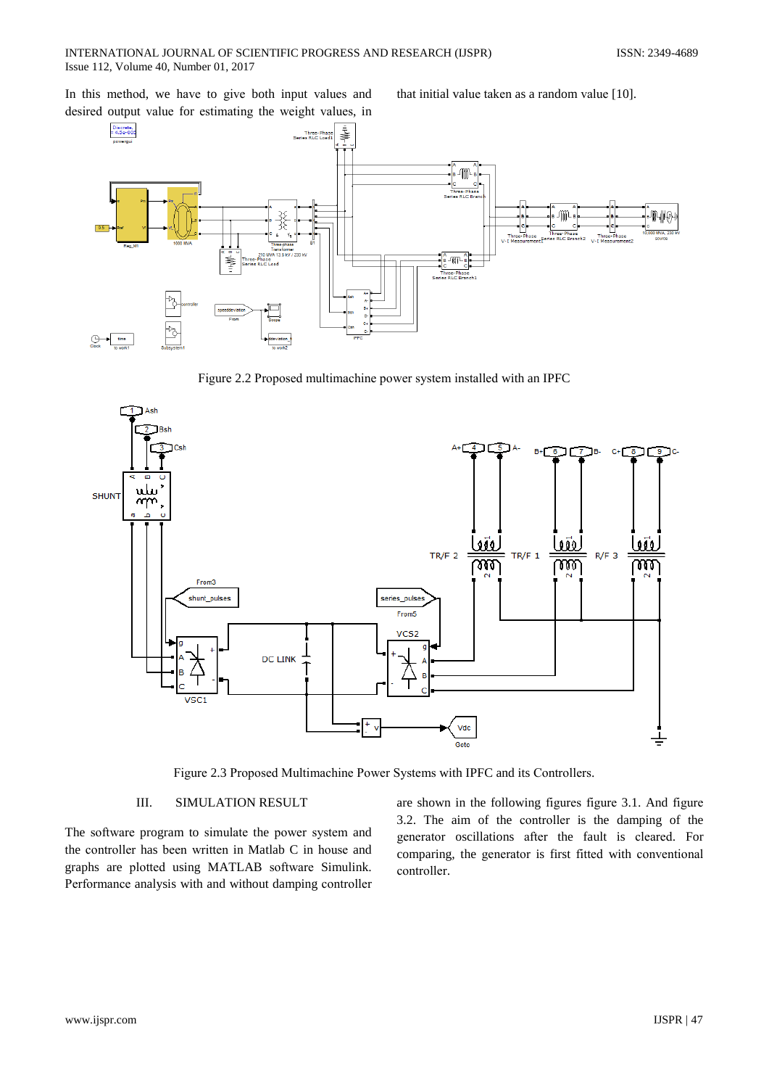In this method, we have to give both input values and desired output value for estimating the weight values, in that initial value taken as a random value [10].



Figure 2.2 Proposed multimachine power system installed with an IPFC



Figure 2.3 Proposed Multimachine Power Systems with IPFC and its Controllers.

#### III. SIMULATION RESULT

The software program to simulate the power system and the controller has been written in Matlab C in house and graphs are plotted using MATLAB software Simulink. Performance analysis with and without damping controller

are shown in the following figures figure 3.1. And figure 3.2. The aim of the controller is the damping of the generator oscillations after the fault is cleared. For comparing, the generator is first fitted with conventional controller.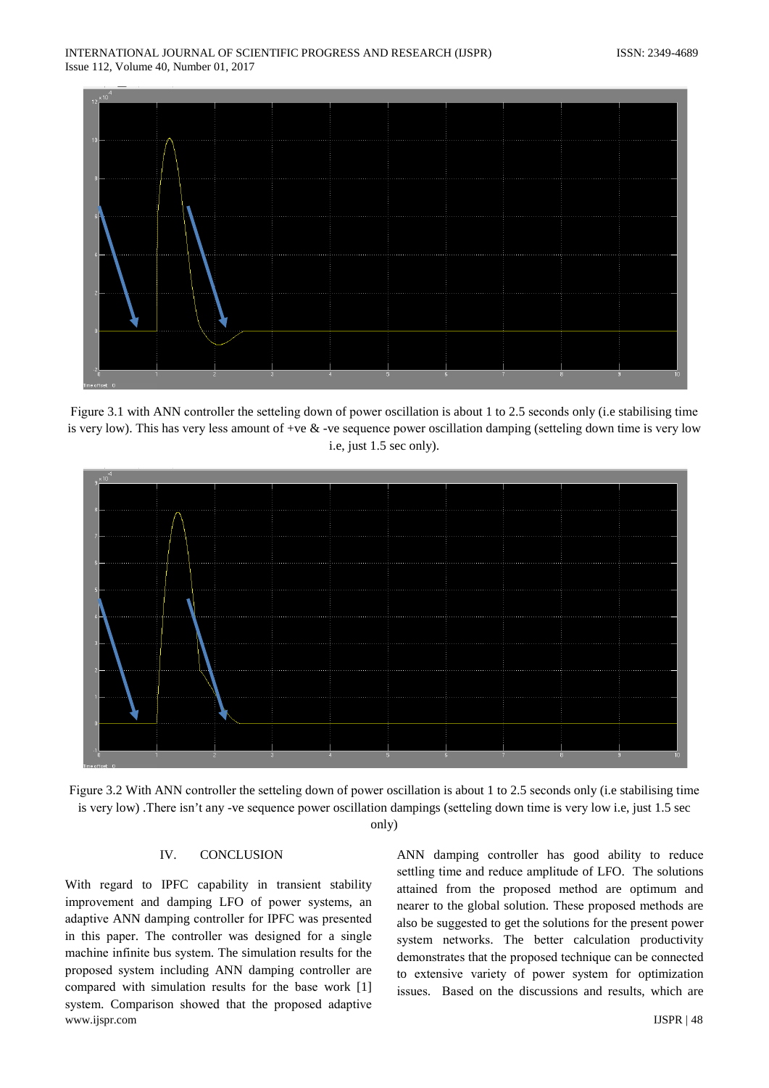

Figure 3.1 with ANN controller the setteling down of power oscillation is about 1 to 2.5 seconds only (i.e stabilising time is very low). This has very less amount of +ve  $\&$  -ve sequence power oscillation damping (setteling down time is very low i.e, just 1.5 sec only).



Figure 3.2 With ANN controller the setteling down of power oscillation is about 1 to 2.5 seconds only (i.e stabilising time is very low). There isn't any -ve sequence power oscillation dampings (setteling down time is very low i.e, just 1.5 sec

# only)

#### IV. **CONCLUSION**

With regard to IPFC capability in transient stability improvement and damping LFO of power systems, an adaptive ANN damping controller for IPFC was presented in this paper. The controller was designed for a single machine infinite bus system. The simulation results for the proposed system including ANN damping controller are compared with simulation results for the base work [1] system. Comparison showed that the proposed adaptive www.ijspr.com

ANN damping controller has good ability to reduce settling time and reduce amplitude of LFO. The solutions attained from the proposed method are optimum and nearer to the global solution. These proposed methods are also be suggested to get the solutions for the present power system networks. The better calculation productivity demonstrates that the proposed technique can be connected to extensive variety of power system for optimization issues. Based on the discussions and results, which are